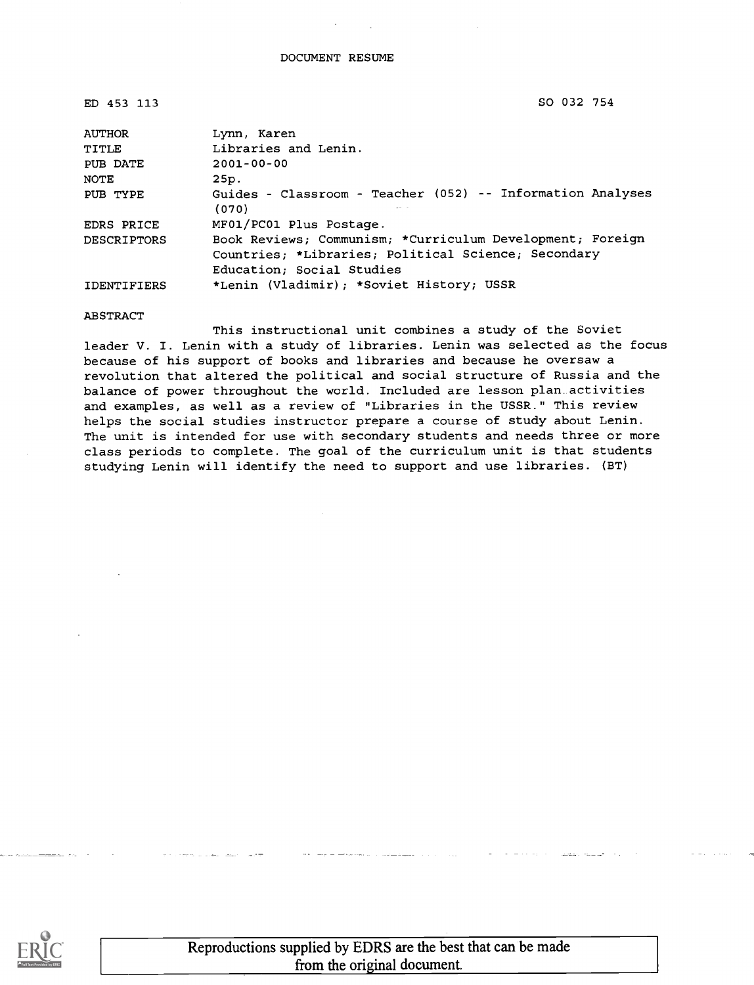ED 453 113 SO 032 754

| <b>AUTHOR</b>      | Lynn, Karen                                                                                                                                   |  |
|--------------------|-----------------------------------------------------------------------------------------------------------------------------------------------|--|
| TITLE              | Libraries and Lenin.                                                                                                                          |  |
| PUB DATE           | $2001 - 00 - 00$                                                                                                                              |  |
| NOTE               | 25p.                                                                                                                                          |  |
| PUB TYPE           | Guides - Classroom - Teacher (052) -- Information Analyses<br>(070)                                                                           |  |
| EDRS PRICE         | MF01/PC01 Plus Postage.                                                                                                                       |  |
| <b>DESCRIPTORS</b> | Book Reviews; Communism; *Curriculum Development; Foreign<br>Countries; *Libraries; Political Science; Secondary<br>Education; Social Studies |  |
| <b>IDENTIFIERS</b> | *Lenin (Vladimir); *Soviet History; USSR                                                                                                      |  |

ABSTRACT

This instructional unit combines a study of the Soviet leader V. I. Lenin with a study of libraries. Lenin was selected as the focus because of his support of books and libraries and because he oversaw a revolution that altered the political and social structure of Russia and the balance of power throughout the world. Included are lesson plan activities and examples, as well as a review of "Libraries in the USSR." This review helps the social studies instructor prepare a course of study about Lenin. The unit is intended for use with secondary students and needs three or more class periods to complete. The goal of the curriculum unit is that students studying Lenin will identify the need to support and use libraries. (BT)

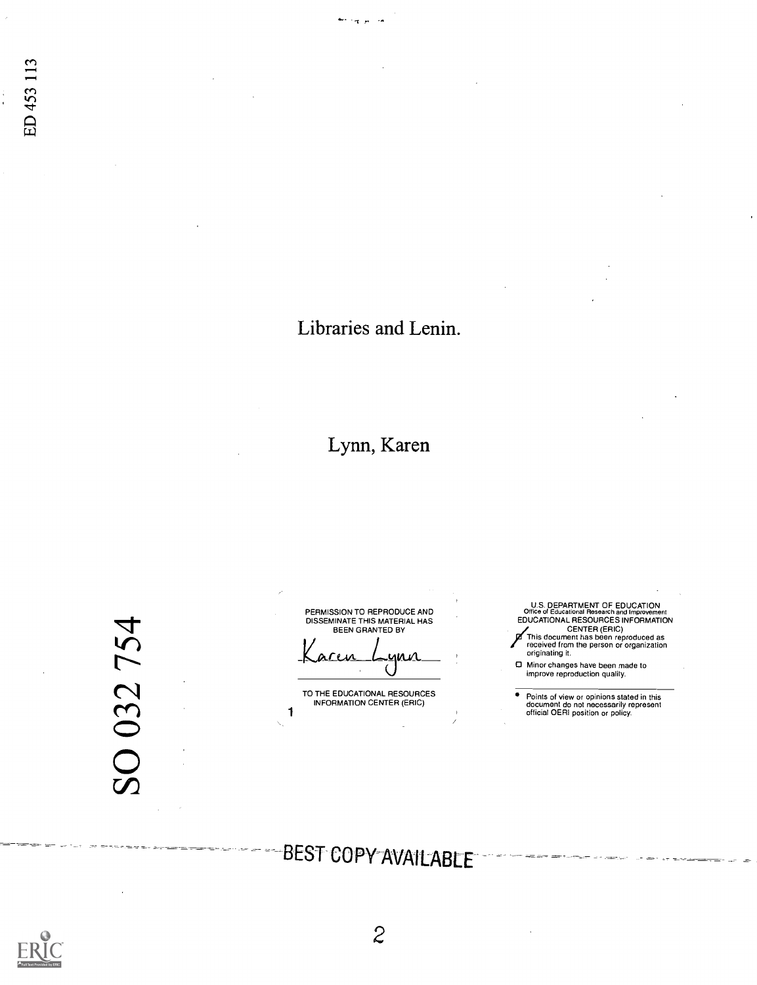## Libraries and Lenin.

 $\tau$   $\mu$ 

## Lynn, Karen

SO 032 754

PERMISSION TO REPRODUCE AND DISSEMINATE THIS MATERIAL HAS BEEN GRANTED BY

.yna<br>(

TO THE EDUCATIONAL RESOURCES INFORMATION CENTER (ERIC)

1

U.S. DEPARTMENT OF EDUCATION<br>Office of Educational Research and Improvement<br>EDUCATIONAL RESOURCES INFORMATION<br>CENTER (ERIC)<br>This document has been reproduced as<br>received from the person or organization<br>originating it.

Minor changes have been made to improve reproduction quality.

Points of view or opinions stated in this document do not necessarily represent official OERI position or policy.

# -BEST COPY-AVAILABLE

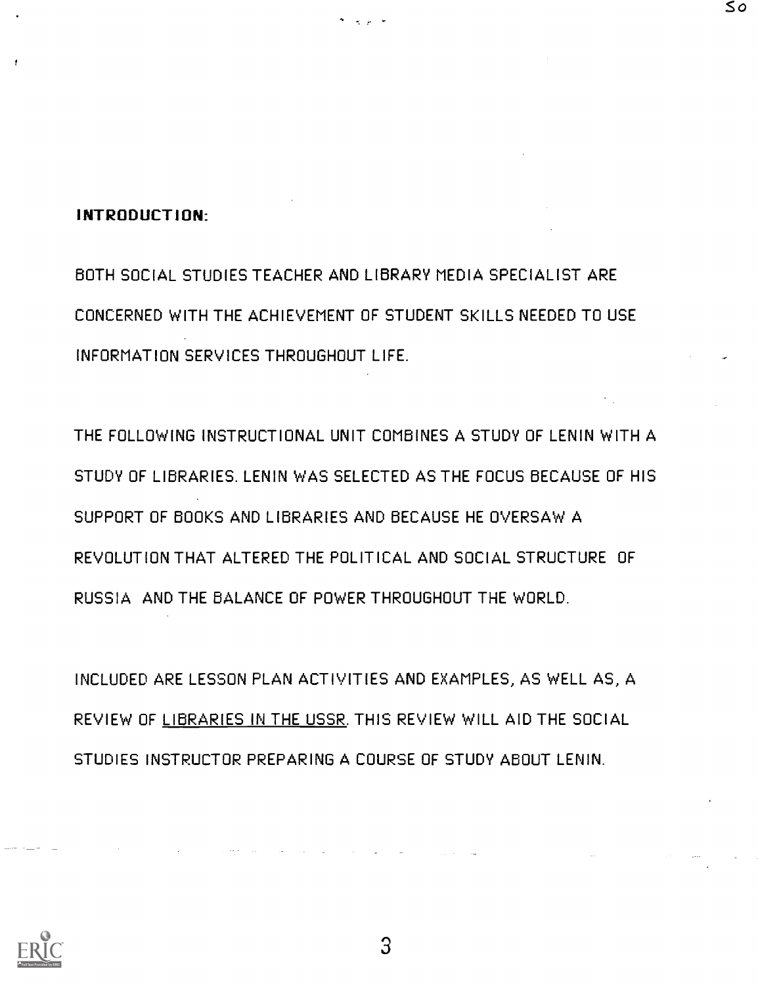#### INTRODUCTION:

BOTH SOCIAL STUDIES TEACHER AND LIBRARY MEDIA SPECIALIST ARE CONCERNED WITH THE ACHIEVEMENT OF STUDENT SKILLS NEEDED TO USE INFORMATION SERVICES THROUGHOUT LIFE.

So

THE FOLLOWING INSTRUCTIONAL UNIT COMBINES A STUDY OF LENIN WITH A STUDY OF LIBRARIES. LENIN WAS SELECTED AS THE FOCUS BECAUSE OF HIS SUPPORT OF BOOKS AND LIBRARIES AND BECAUSE HE OVERSAW A REVOLUTION THAT ALTERED THE POLITICAL AND SOCIAL STRUCTURE OF RUSSIA AND THE BALANCE OF POWER THROUGHOUT THE WORLD.

INCLUDED ARE LESSON PLAN ACTIVITIES AND EXAMPLES, AS WELL AS, A REVIEW OF LIBRARIES IN THE USSR. THIS REVIEW WILL AID THE SOCIAL STUDIES INSTRUCTOR PREPARING A COURSE OF STUDY ABOUT LENIN.

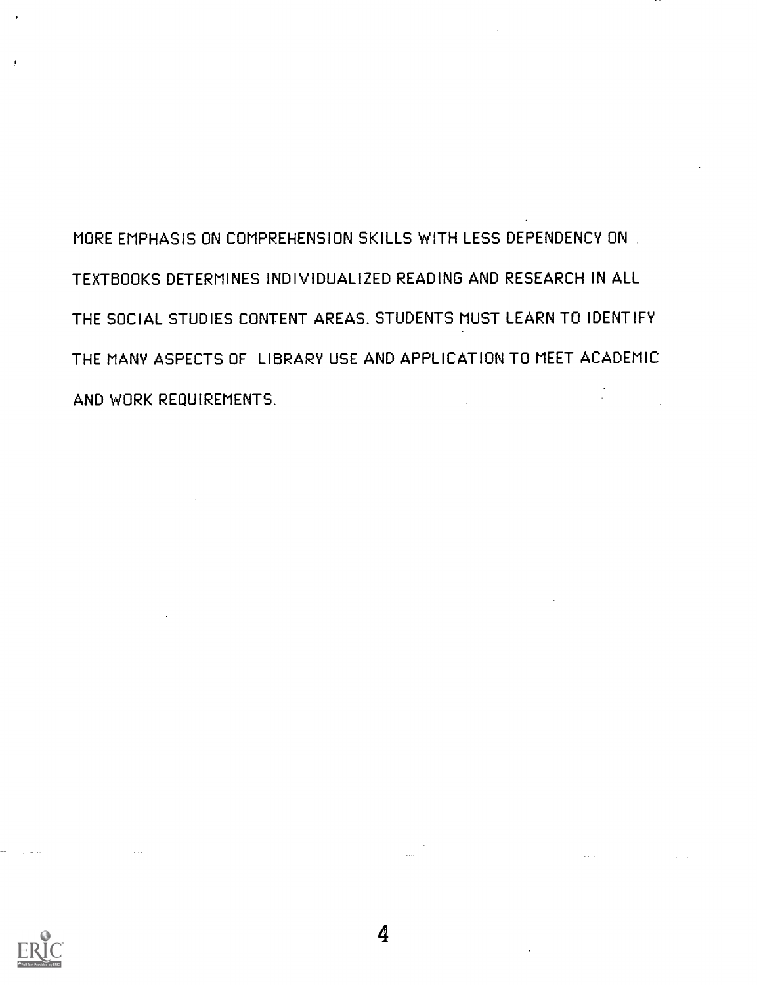MORE EMPHASIS ON COMPREHENSION SKILLS WITH LESS DEPENDENCY ON TEXTBOOKS DETERMINES INDIVIDUALIZED READING AND RESEARCH IN ALL THE SOCIAL STUDIES CONTENT AREAS. STUDENTS MUST LEARN TO IDENTIFY THE MANY ASPECTS OF LIBRARY USE AND APPLICATION TO MEET ACADEMIC AND WORK REQUIREMENTS.



 $\sim 100$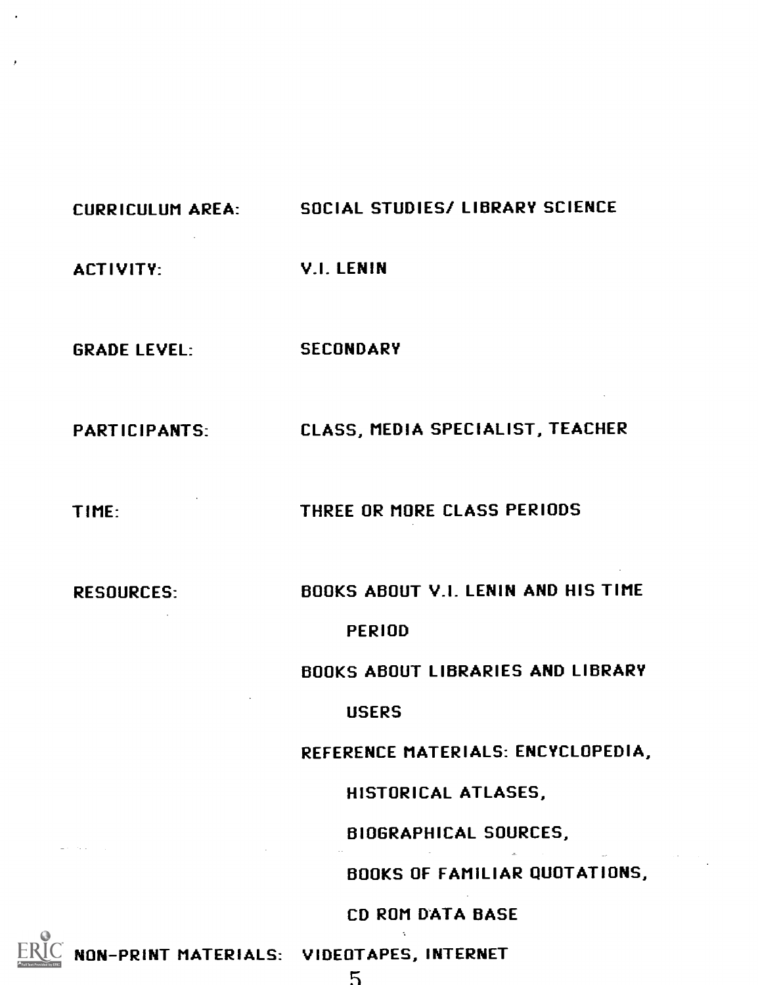## CURRICULUM AREA: SOCIAL STUDIES/ LIBRARY SCIENCE

ACTIVITY: V.I. LENIN

GRADE LEVEL: SECONDARY

PARTICIPANTS: CLASS, MEDIA SPECIALIST, TEACHER

TIME: THREE OR MORE CLASS PERIODS

RESOURCES: BOOKS ABOUT V.I. LENIN AND HIS TIME

#### PERIOD

BOOKS ABOUT LIBRARIES AND LIBRARY

**USERS** 

REFERENCE MATERIALS: ENCYCLOPEDIA,

HISTORICAL ATLASES,

BIOGRAPHICAL SOURCES,

BOOKS OF FAMILIAR QUOTATIONS,

CD ROM DATA BASE

NON-PRINT MATERIALS: VIDEOTAPES, INTERNET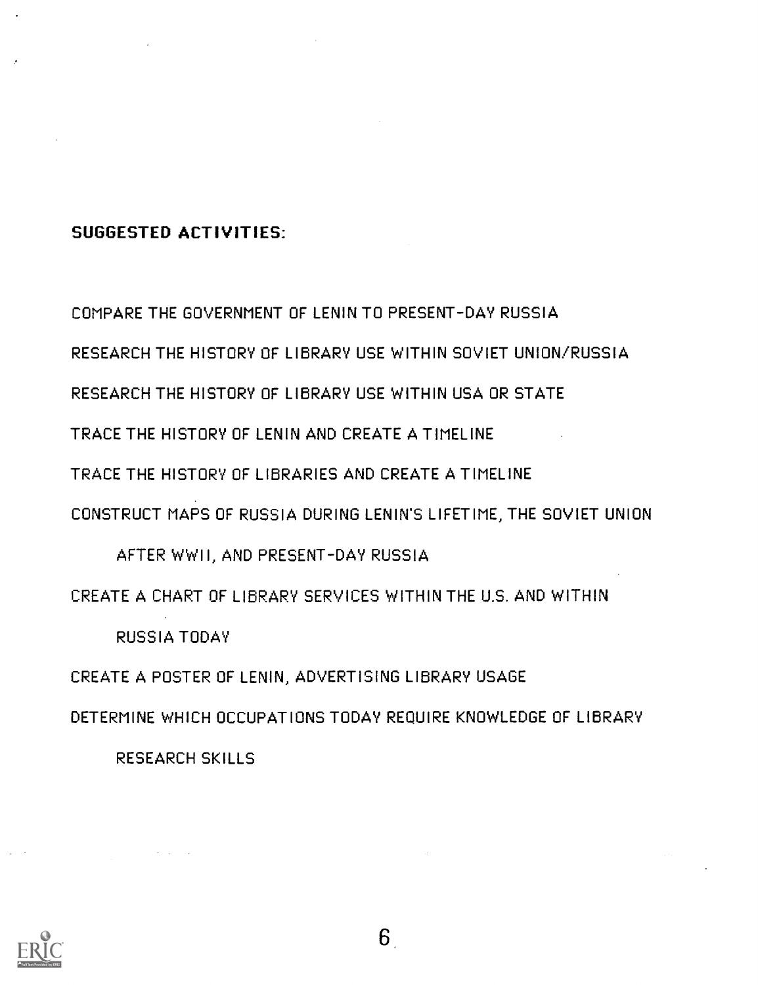#### SUGGESTED ACTIVITIES:

COMPARE THE GOVERNMENT OF LENIN TO PRESENT-DAY RUSSIA RESEARCH THE HISTORY OF LIBRARY USE WITHIN SOVIET UNION/RUSSIA RESEARCH THE HISTORY OF LIBRARY USE WITHIN USA OR STATE TRACE THE HISTORY OF LENIN AND CREATE A TIMELINE TRACE THE HISTORY OF LIBRARIES AND CREATE A TIMELINE CONSTRUCT MAPS OF RUSSIA DURING LENIN'S LIFETIME, THE SOVIET UNION AFTER WWII, AND PRESENT-DAY RUSSIA CREATE A CHART OF LIBRARY SERVICES WITHIN THE U.S. AND WITHIN

RUSSIA TODAY

CREATE A POSTER OF LENIN, ADVERTISING LIBRARY USAGE

DETERMINE WHICH OCCUPATIONS TODAY REQUIRE KNOWLEDGE OF LIBRARY

RESEARCH SKILLS

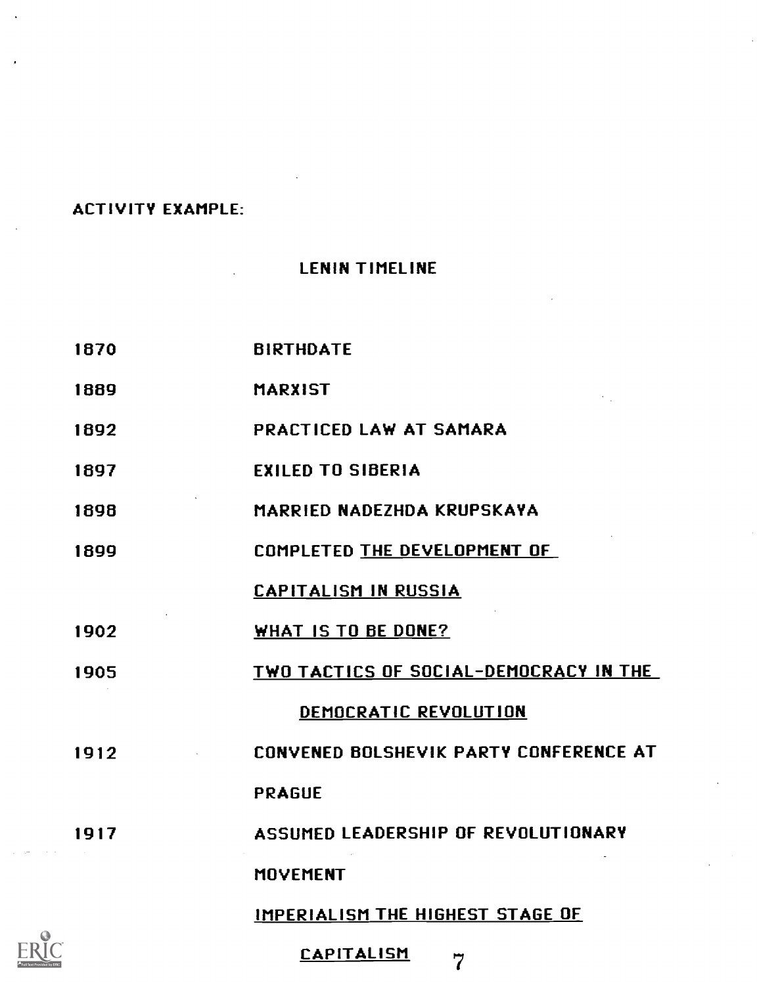#### ACTIVITY EXAMPLE:

 $\ddot{\phantom{a}}$ 

## LENIN TIMELINE

| 1870 | <b>BIRTHDATE</b>                       |
|------|----------------------------------------|
| 1889 | <b>MARXIST</b>                         |
| 1892 | PRACTICED LAW AT SAMARA                |
| 1897 | <b>EXILED TO SIBERIA</b>               |
| 1898 | MARRIED NADEZHDA KRUPSKAYA             |
| 1899 | <b>COMPLETED THE DEVELOPMENT OF</b>    |
|      | <b>CAPITALISM IN RUSSIA</b>            |
| 1902 | WHAT IS TO BE DONE?                    |
| 1905 | TWO TACTICS OF SOCIAL-DEMOCRACY IN THE |
|      | DEMOCRATIC REVOLUTION                  |
| 1912 | CONVENED BOLSHEVIK PARTY CONFERENCE AT |
|      | <b>PRAGUE</b>                          |
| 1917 | ASSUMED LEADERSHIP OF REVOLUTIONARY    |
|      | <b>MOVEMENT</b>                        |
|      | IMPERIALISM THE HIGHEST STAGE OF       |
|      |                                        |

CAPITALISM <sup>7</sup>

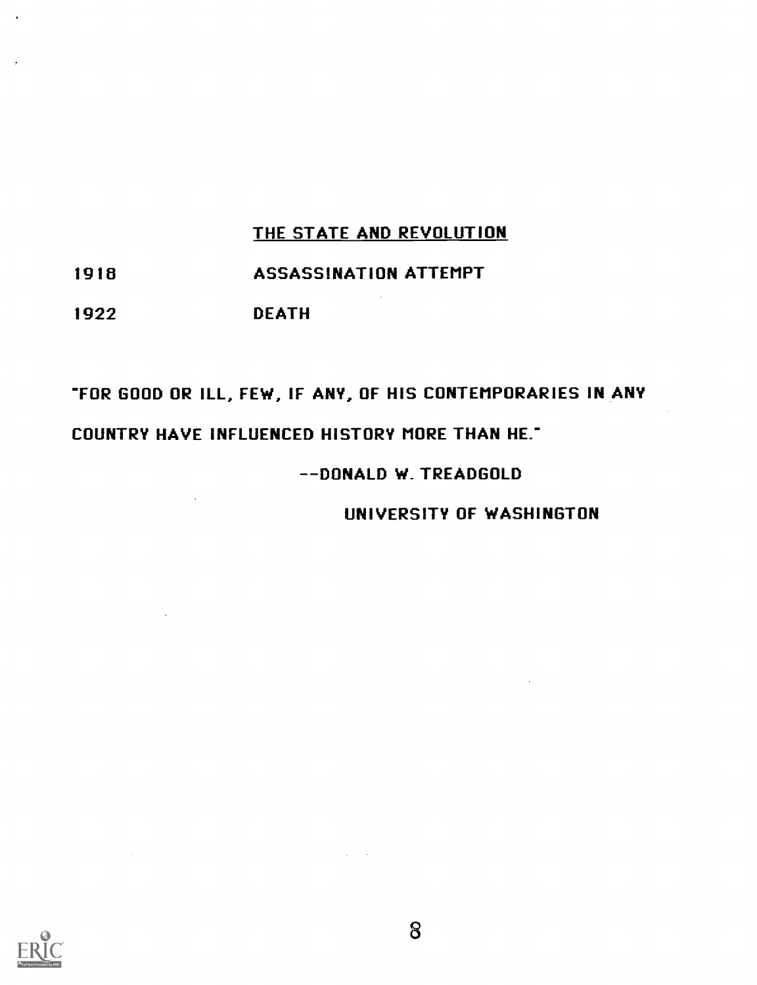## THE STATE AND REVOLUTION

### 1916 ASSASSINATION ATTEMPT

## 1922 DEATH

# FOR GOOD OR ILL, FEW, IF ANY, OF HIS CONTEMPORARIES IN ANY COUNTRY HAVE INFLUENCED HISTORY MORE THAN HE-

#### -DONALD W. TREADGOLD

UNIVERSITY OF WASHINGTON

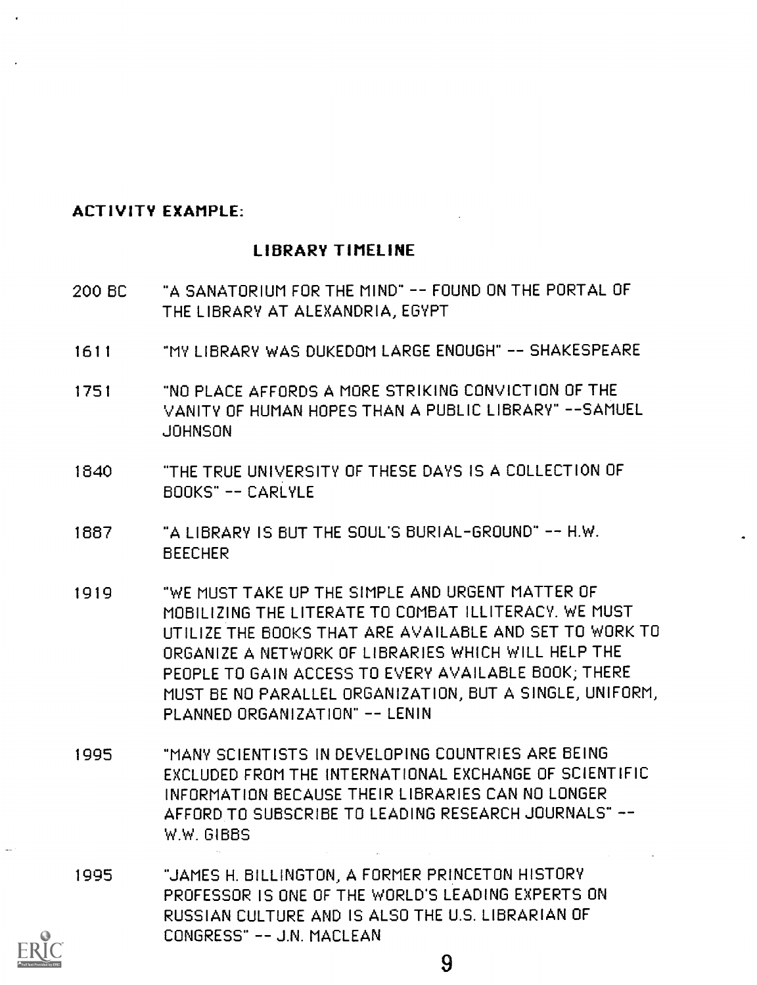#### ACTIVITY EXAMPLE:

#### LIBRARY TIMELINE

- 200 BC "A SANATORIUM FOR THE MIND" -- FOUND ON THE PORTAL OF THE LIBRARY AT ALEXANDRIA, EGYPT
- 1611 "MY LIBRARY WAS DUKEDOM LARGE ENOUGH" -- SHAKESPEARE
- 1751 "NO PLACE AFFORDS A MORE STRIKING CONVICTION OF THE VANITY OF HUMAN HOPES THAN A PUBLIC LIBRARY" --SAMUEL JOHNSON
- 1840 "THE TRUE UNIVERSITY OF THESE DAYS IS A COLLECTION OF BOOKS" -- CARLYLE
- 1687 "A LIBRARY IS BUT THE SOUL'S BURIAL-GROUND" -- H.W. BEECHER
- 1919 "WE MUST TAKE UP THE SIMPLE AND URGENT MATTER OF MOBILIZING THE LITERATE TO COMBAT ILLITERACY. WE MUST UTILIZE THE BOOKS THAT ARE AVAILABLE AND SET TO WORK TO ORGANIZE A NETWORK OF LIBRARIES WHICH WILL HELP THE PEOPLE TO GAIN ACCESS TO EVERY AVAILABLE BOOK; THERE MUST BE NO PARALLEL ORGANIZATION, BUT A SINGLE, UNIFORM, PLANNED ORGANIZATION" -- LENIN
- 1995 "MANY SCIENTISTS IN DEVELOPING COUNTRIES ARE BEING EXCLUDED FROM THE INTERNATIONAL EXCHANGE OF SCIENTIFIC INFORMATION BECAUSE THEIR LIBRARIES CAN NO LONGER AFFORD TO SUBSCRIBE TO LEADING RESEARCH JOURNALS" W.W. GIBBS
- 1995 "JAMES H. BILLINGTON A FORMER PRINCETON HISTORY PROFESSOR IS ONE OF THE WORLD'S LEADING EXPERTS ON RUSSIAN CULTURE AND IS ALSO THE U.S. LIBRARIAN OF CONGRESS" -- J.N. MACLEAN

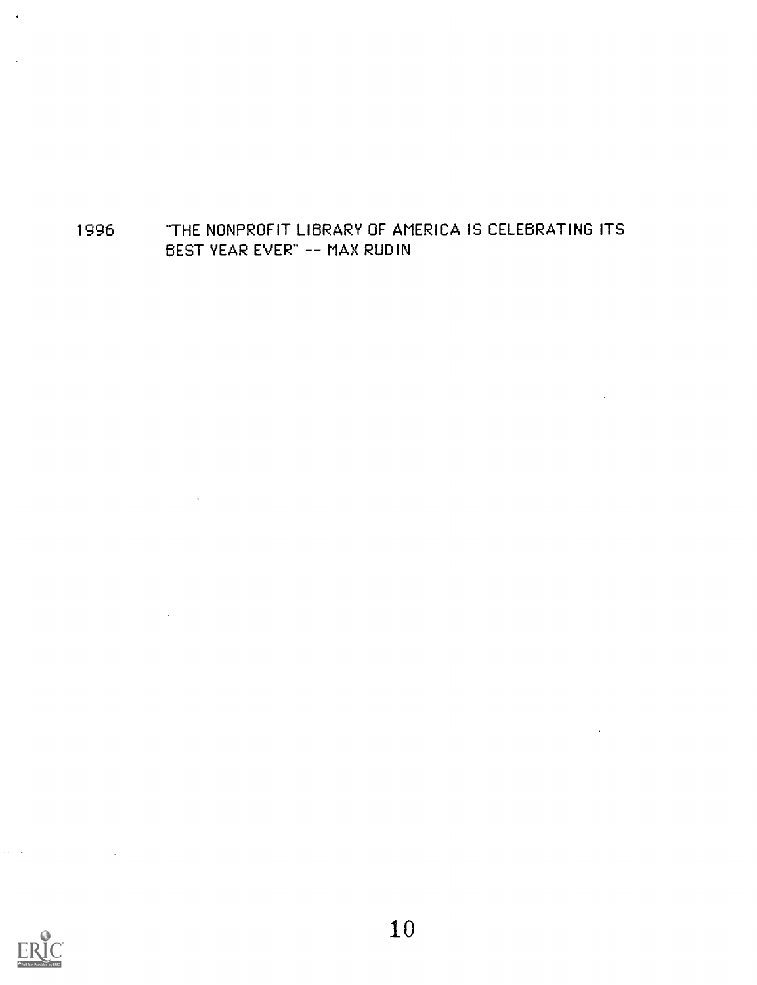## "THE NONPROFIT LIBRARY OF AMERICA IS CELEBRATING ITS BEST YEAR EVER" -- MAX RUDIN

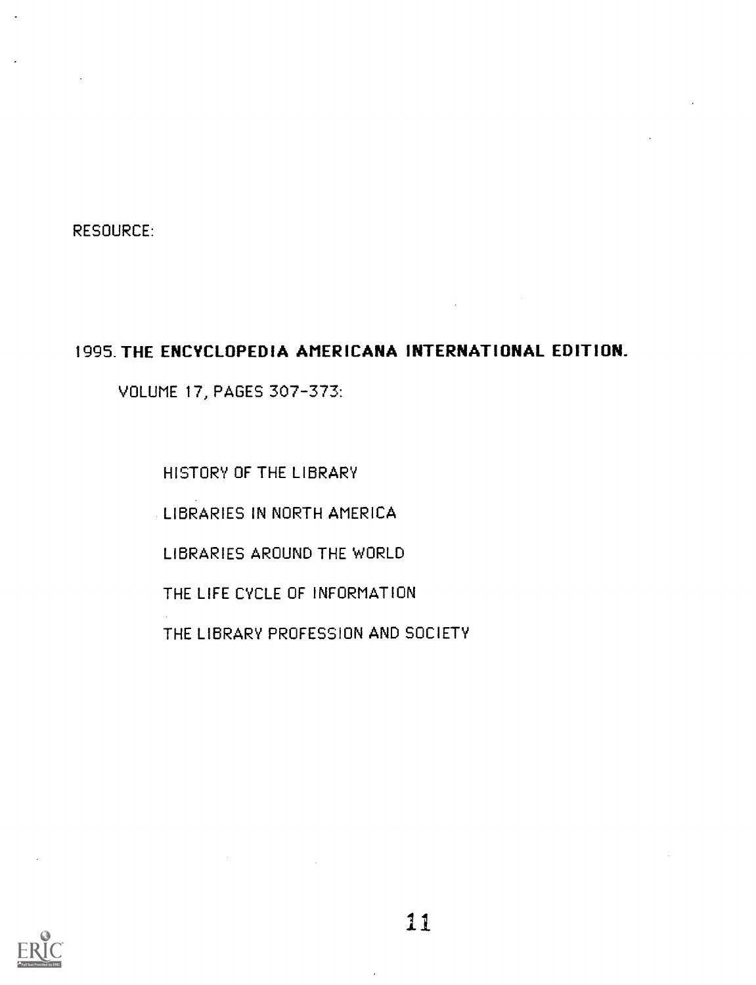RESOURCE:

### 1995. THE ENCYCLOPEDIA AMERICANA INTERNATIONAL EDITION\_

VOLUME 17, PAGES 307-373:

HISTORY OF THE LIBRARY

LIBRARIES IN NORTH AMERICA

LIBRARIES AROUND THE WORLD

THE LIFE CYCLE OF INFORMATION

THE LIBRARY PROFESSION AND SOCIETY

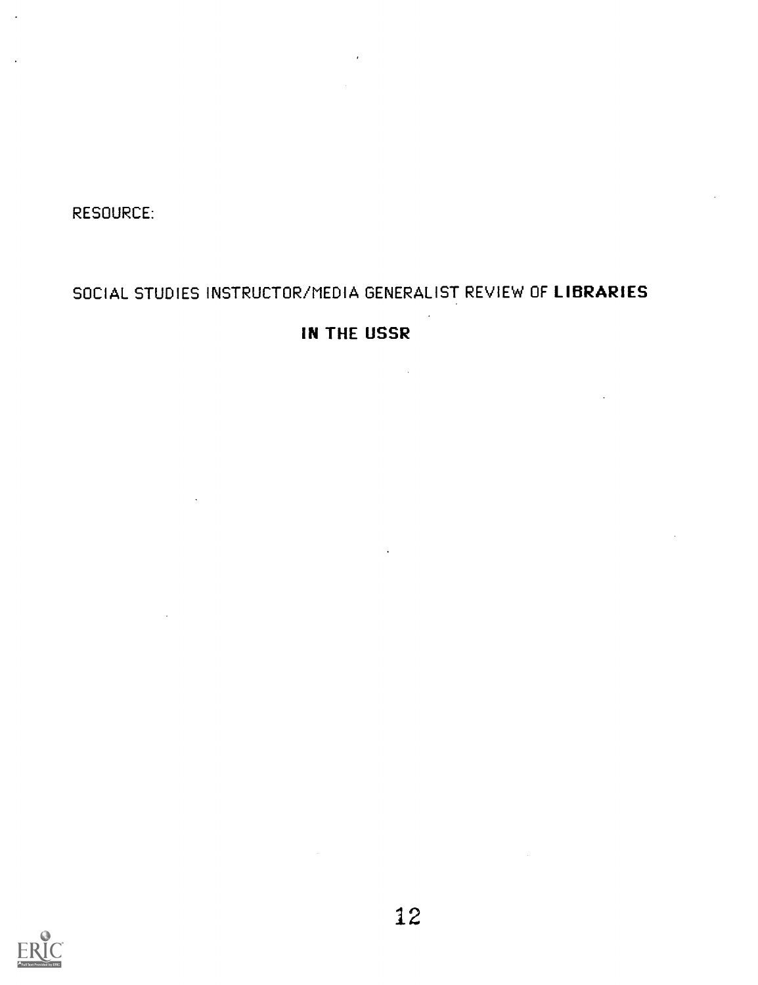RESOURCE:

# SOCIAL STUDIES INSTRUCTOR/MEDIA GENERALIST REVIEW OF LIBRARIES

## IN THE USSR

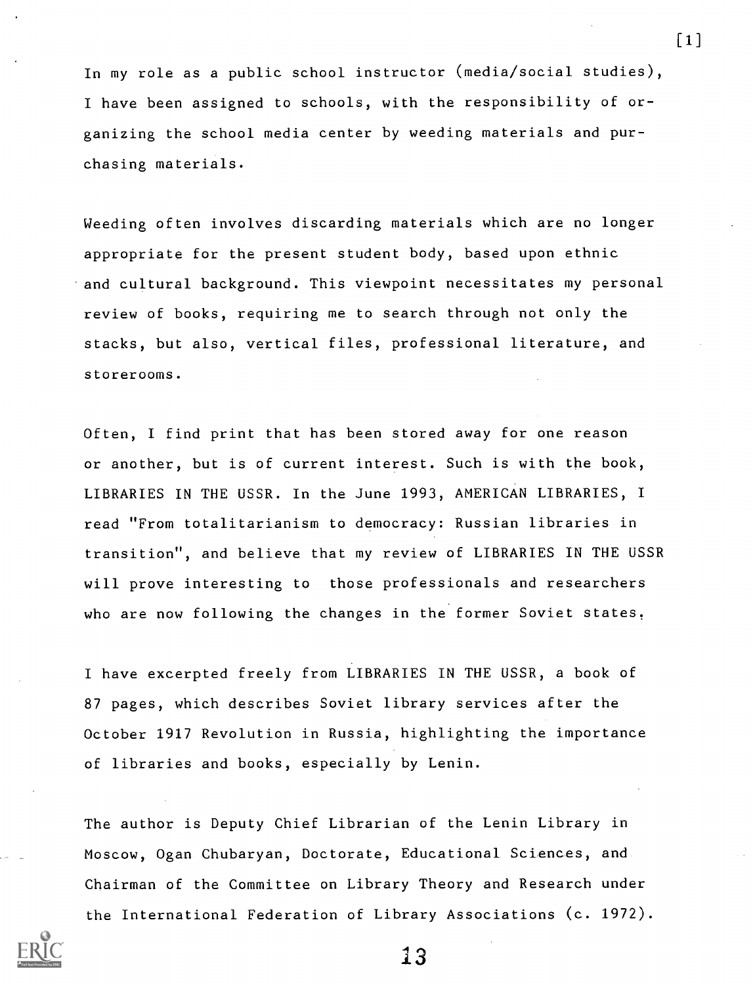In my role as a public school instructor (media/social studies), I have been assigned to schools, with the responsibility of organizing the school media center by weeding materials and purchasing materials.

Weeding often involves discarding materials which are no longer appropriate for the present student body, based upon ethnic and cultural background. This viewpoint necessitates my personal review of books, requiring me to search through not only the stacks, but also, vertical files, professional literature, and storerooms.

Often, I find print that has been stored away for one reason or another, but is of current interest. Such is with the book, LIBRARIES IN THE USSR. In the June 1993, AMERICAN LIBRARIES, I read "From totalitarianism to democracy: Russian libraries in transition", and believe that my review of LIBRARIES IN THE USSR will prove interesting to those professionals and researchers who are now following the changes in the former Soviet states,

I have excerpted freely from LIBRARIES IN THE USSR, a book of 87 pages, which describes Soviet library services after the October 1917 Revolution in Russia, highlighting the importance of libraries and books, especially by Lenin.

The author is Deputy Chief Librarian of the Lenin Library in Moscow, Ogan Chubaryan, Doctorate, Educational. Sciences, and Chairman of the Committee on Library Theory and Research under the International Federation of Library Associations (c. 1972).



13

[1]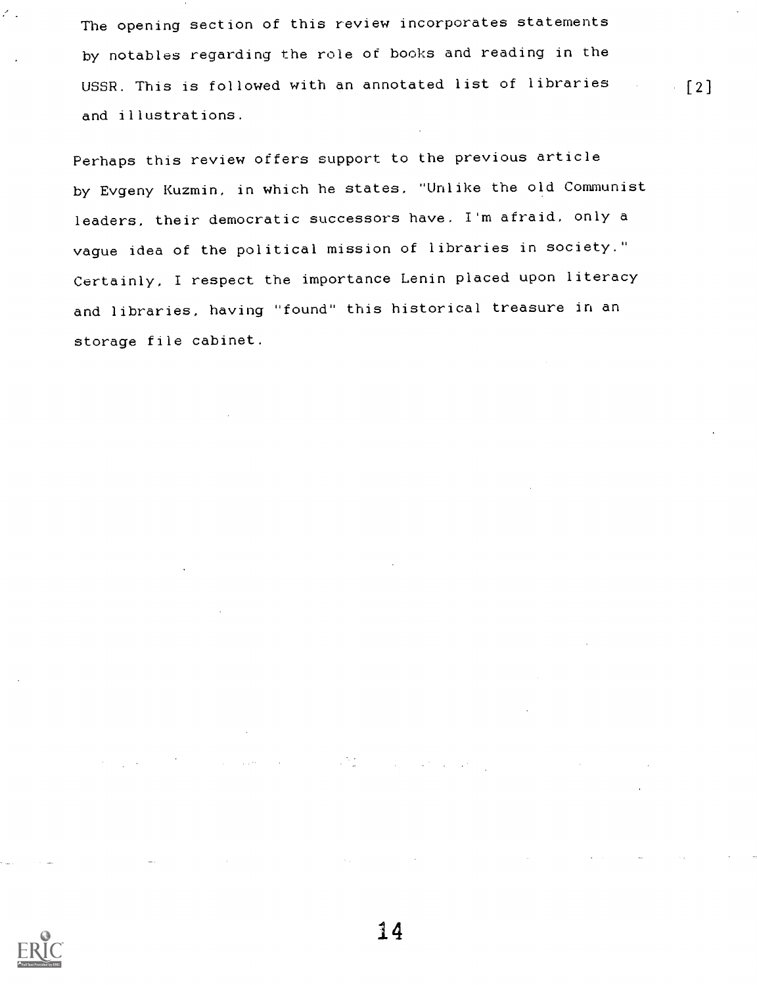The opening section of this review incorporates statements by notables regarding the role of books and reading in the USSR. This is followed with an annotated list of libraries [2] and illustrations.

Perhaps this review offers support to the previous article by Evgeny Kuzmin, in which he states, "Unlike the old Communist leaders, their democratic successors have, I'm afraid, only a vague idea of the political mission of libraries in society." Certainly, I respect the importance Lenin placed upon literacy and libraries, having "found" this historical treasure in an storage file cabinet.



 $\mathcal{E}$  .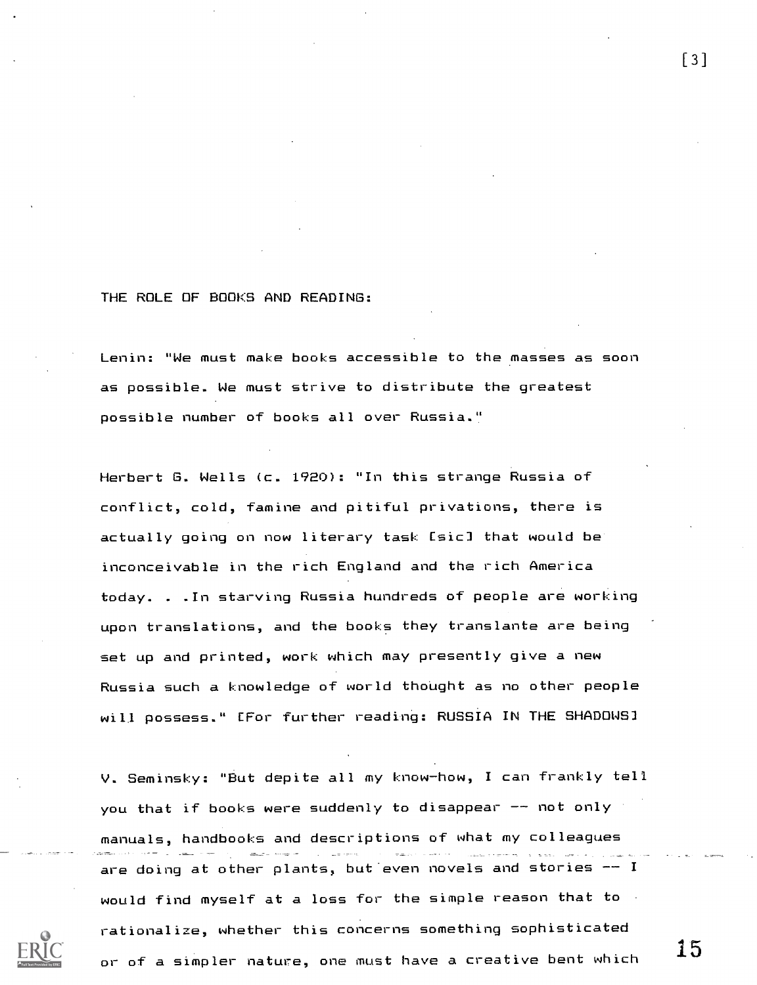#### THE ROLE OF BOOKS AND READING:

Lenin: "We must make books accessible to the masses as soon as possible. We must strive to distribute the greatest possible number of books all over Russia."

Herbert G. Wells (c. 1920): "In this strange Russia of conflict, cold, famine and pitiful privations, there is actually going on now literary task [sic] that would be inconceivable in the rich England and the rich America today. . .In starving Russia hundreds of people are working upon translations, and the books they translante are being set up and printed, work which may presently give a new Russia such a knowledge of world thought as no other people will possess." [For further reading: RUSSIA IN THE SHADOWS]

V. Seminsky: "But depite all my know-how, I can frankly tell you that if books were suddenly to disappear  $-$  not only manuals, handbooks and descriptions of what my colleagues are doing at other plants, but even novels and stories  $-1$ would find myself at a loss for the simple reason that to rationalize, whether this concerns something sophisticated or of a simpler nature, one must have a creative bent which

[3]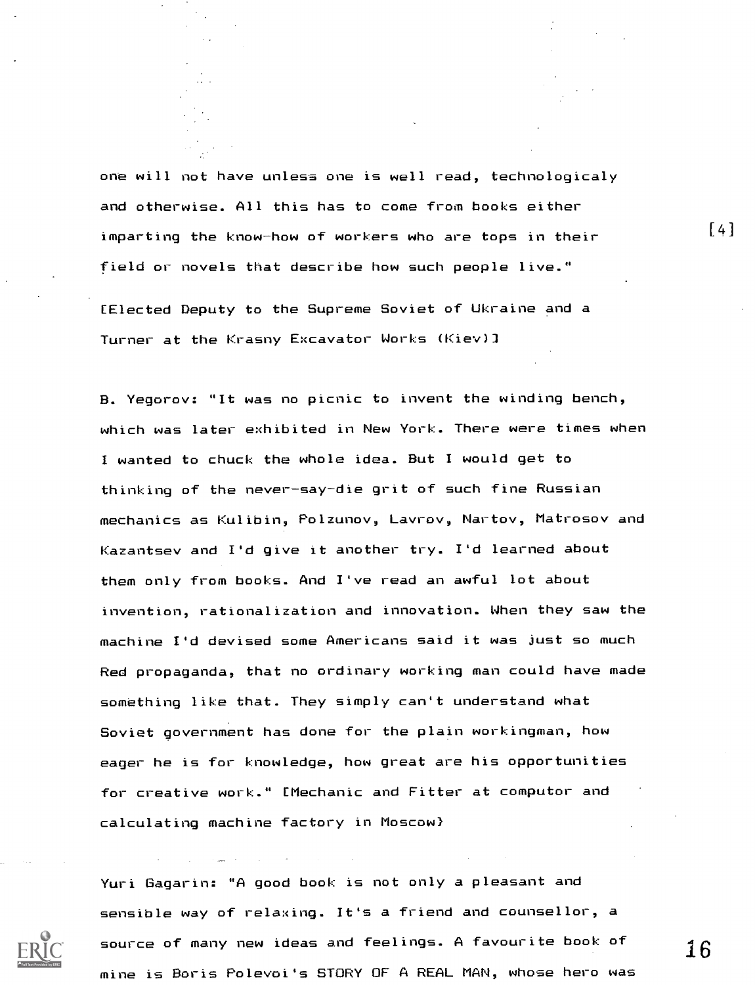one will not have unless one is well read, technologicaly and otherwise. All this has to come from books either imparting the know-how of workers who are tops in their field or novels that describe how such people live."

[Elected Deputy to the Supreme Soviet of Ukraine and a Turner at the Krasny Excavator Works (Kiev)]

B. Yegorov: "It was no picnic to invent the winding bench, which was later exhibited in New York. There were times when I wanted to chuck the whole idea. But I would get to thinking of the never-say-die grit of such fine Russian mechanics as Kulibin, Polzunov, Lavrov, Nartov, Matrosov and Kazantsev and I'd give it another try. I'd learned about them only from books. And I've read an awful lot about invention, rationalization and innovation. When they saw the machine I'd devised some Americans said it was just so much Red propaganda, that no ordinary working man could have made something like that. They simply can't understand what Soviet government has done for the plain workingman, how eager he is for knowledge, how great are his opportunities for creative work." [Mechanic and Fitter at computor and calculating machine factory in Moscow)

Yuri Gagarin: "A good book is not only a pleasant and sensible way of relaxing. It's a friend and counsellor, a source of many new ideas and feelings. A favourite book of  $\begin{array}{c} 16 \end{array}$ mine is Boris Polevoi's STORY OF A REAL MAN, whose hero was

 $\lceil 4 \rceil$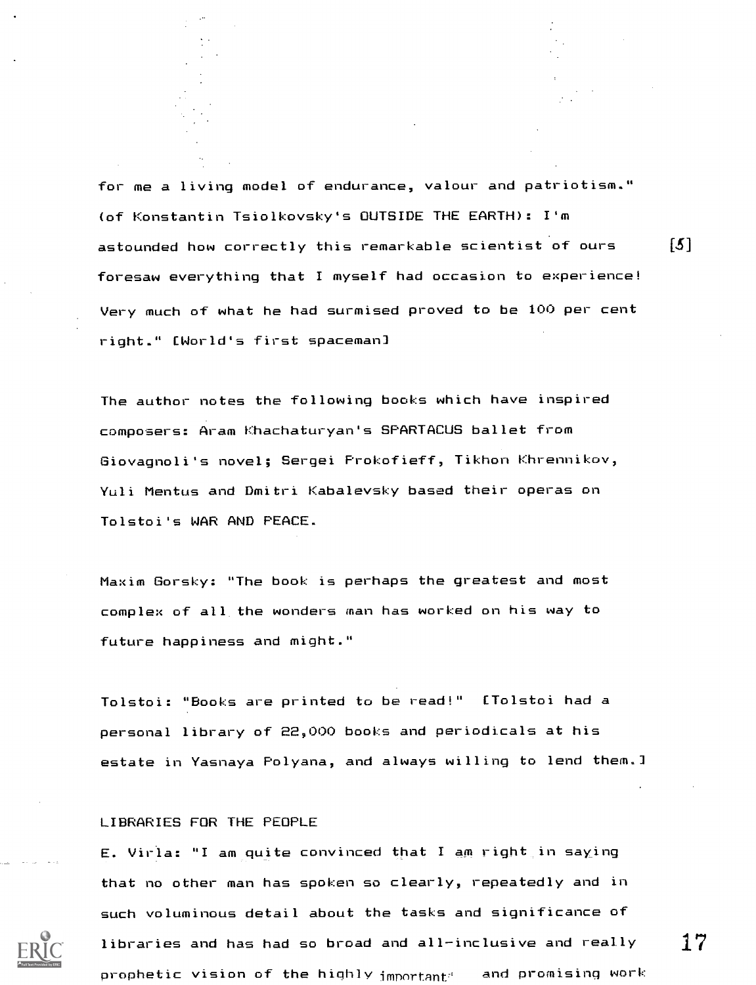for me a living model of endurance, valour and patriotism." (of Konstantin Tsiolkovsky's OUTSIDE THE EARTH): I'm astounded how correctly this remarkable scientist of ours  $[\hbox{$\delta$}]$ foresaw everything that I myself had occasion to experience! Very much of what he had surmised proved to be 100 per cent right." [World's first spaceman]

The author notes the following books which have inspired composers: Aram Khachaturyan's SPARTACUS ballet from Giovagnoli's novel; Sergei Prokofieff, Tikhon Khrennikov, Yuli Mentus and Dmitri Kabalevsky based their operas on Tolstoi's WAR AND PEACE.

Maxim Gorsky: "The book is perhaps the greatest and most complex of all the wonders man has worked on his way to future happiness and might."

Tolstoi: "Books are printed to be read!" [Tolstoi had a personal library of 22,000 books and periodicals at his estate in Yasnaya Polyana, and always willing to lend them.]

#### LIBRARIES FOR THE PEOPLE

E. Virla: "I am quite convinced that I am right in saying that no other man has spoken so clearly, repeatedly and in such voluminous detail about the tasks and significance of libraries and has had so broad and all-inclusive and really  $\hat{}$   $\hat{}$   $\hat{}$ prophetic vision of the highly  $\mathbf i$ mportant $\mathbf i$  and promising work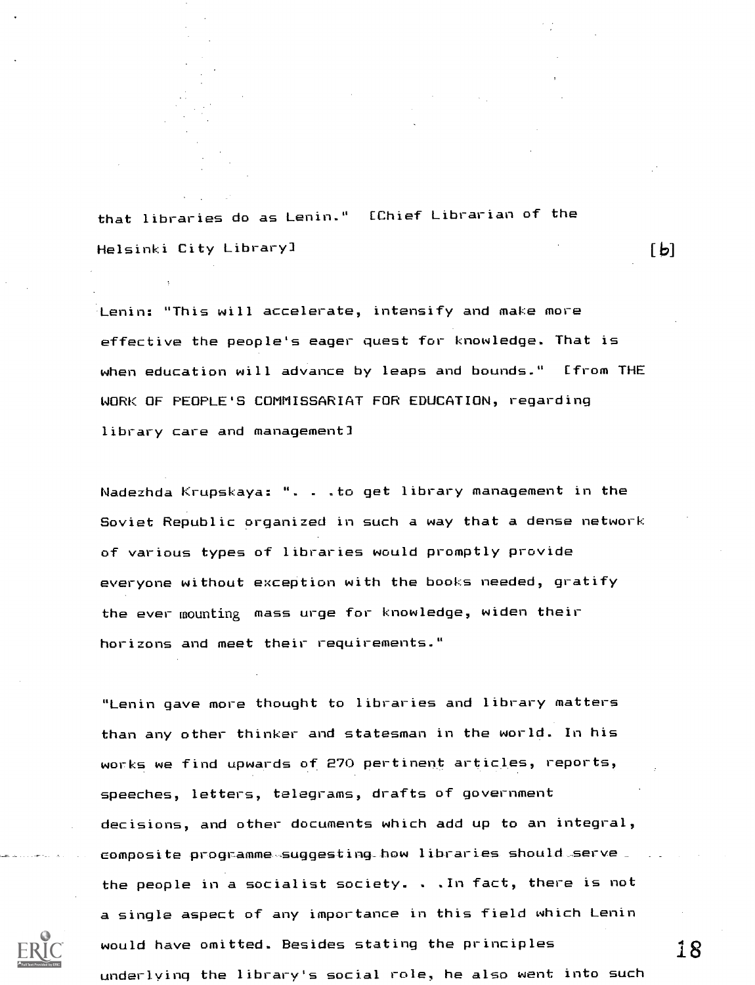that libraries do as Lenin." [Chief Librarian of the Helsinki City Library]

Lenin: "This will accelerate, intensify and make more effective the people's eager quest for knowledge. That is when education will advance by leaps and bounds." [from THE WORK OF PEOPLE'S COMMISSARIAT FOR EDUCATION, regarding library care and managementl

Nadezhda Krupskaya: ". . .to get library management in the Soviet Republic organized in such a way that a dense network of various types of libraries would promptly provide everyone without exception with the books needed, gratify the ever mounting mass urge for knowledge, widen their horizons and meet their requirements."

"Lenin gave more thought to libraries and library matters than any other thinker and statesman in the world. In his works we find upwards of 270 pertinent articles, reports, speeches, letters, telegrams, drafts of government decisions, and other documents which add up to an integral,  $\epsilon$ omposite programme suggesting how libraries should serve the people in a socialist society. . .In fact, there is not a single aspect of any importance in this field which Lenin would have omitted. Besides stating the principles underlying the library's social role, he also went into such

18

 $\mathsf{L}\mathsf{P}$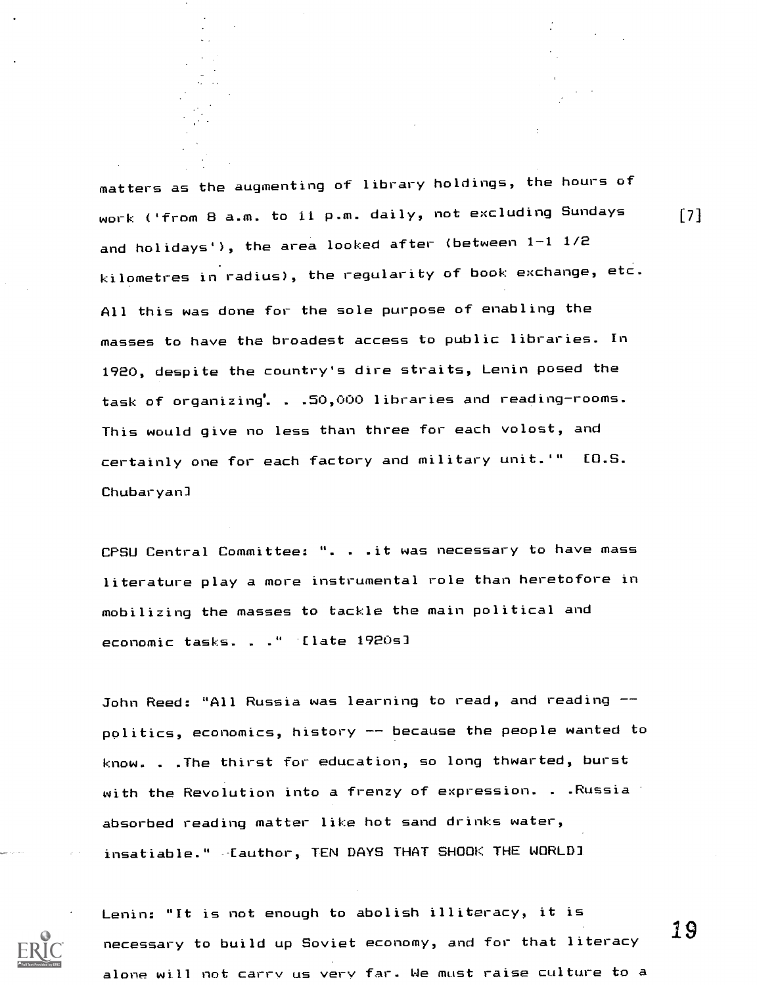matters as the augmenting of library holdings, the hours of work ('from B a.m. to 11 p.m. daily, not excluding Sundays and holidays'), the area looked after (between 1-1 1/2 kilometres in radius), the regularity of book exchange, etc. All this was done for the sole purpose of enabling the masses to have the broadest access to public libraries. In 1920, despite the country's dire straits, Lenin posed the task of organizing. . .50,000 libraries and reading-rooms. This would give no less than three for each volost, and certainly one for each factory and military unit.'" [O.S. Chubaryan]

CPSU Central Committee: ". . .it was necessary to have mass literature play a more instrumental role than heretofore in mobilizing the masses to tackle the main political and economic tasks. . ." 'Elate 1920s]

John Reed: "All Russia was learning to read, and reading -politics, economics, history  $-$  because the people wanted to know. . .The thirst for education, so long thwarted, burst with the Revolution into a frenzy of expression. . .Russia absorbed reading matter like hot sand drinks water, insatiable." -Cauthor, TEN DAYS THAT SHOOK THE WORLD]



Lenin: "It is not enough to abolish illiteracy, it is necessary to build up Soviet economy, and for that literacy  $\begin{array}{cc}19\end{array}$ alone will not carry us very far. We must raise culture to a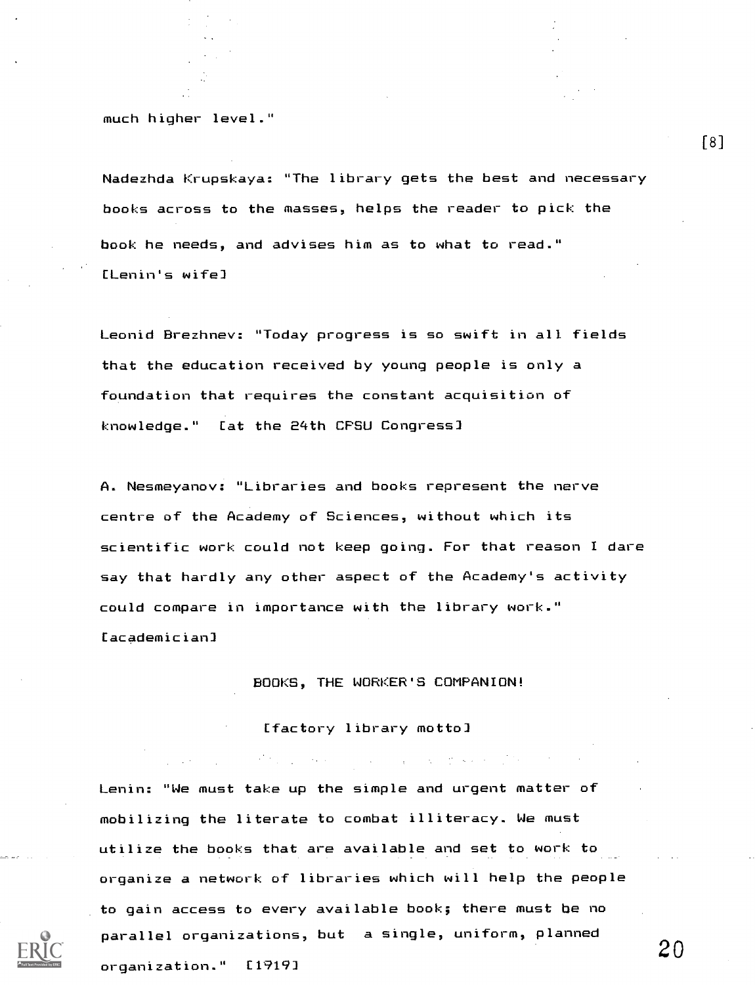much higher level."

Nadezhda Krupskaya: "The library gets the best and necessary books across to the masses, helps the reader to pick the book he needs, and advises him as to what to read." [Lenin's wife]

Leonid Brezhnev: "Today progress is so swift in all fields that the education received by young people is only a foundation that requires the constant acquisition of knowledge." [at the 24th CPSU Congress]

A. Nesmeyanov: "Libraries and books represent the nerve centre of the Academy of Sciences, without which its scientific work could not keep going. For that reason I dare say that hardly any other aspect of the Academy's activity could compare in importance with the library work." [academician]

BOOKS, THE WORKER'S COMPANION!

 $\mathcal{A}^{\mathcal{A}}$  , the special contribution of the special contribution of the special contribution of the special contribution of the special contribution of the special contribution of the special contribution of the spe

[factory library motto]

Lenin: "We must take up the simple and urgent matter of mobilizing the literate to combat illiteracy. We must utilize the books that are available and set to work to organize a network of libraries which will help the people to gain access to every available book; there must be no parallel organizations, but a single, uniform, planned organization." [1919]

 $[8]$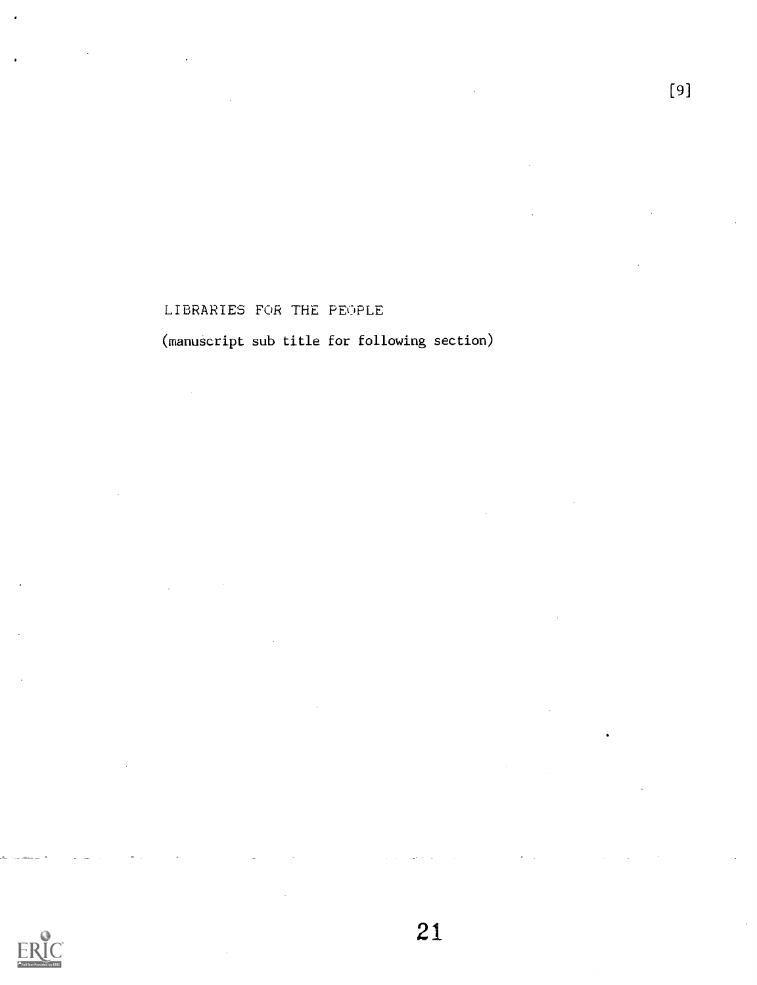#### LIBRARIES FOR THE PEOPLE

(manuscript sub title for following section)

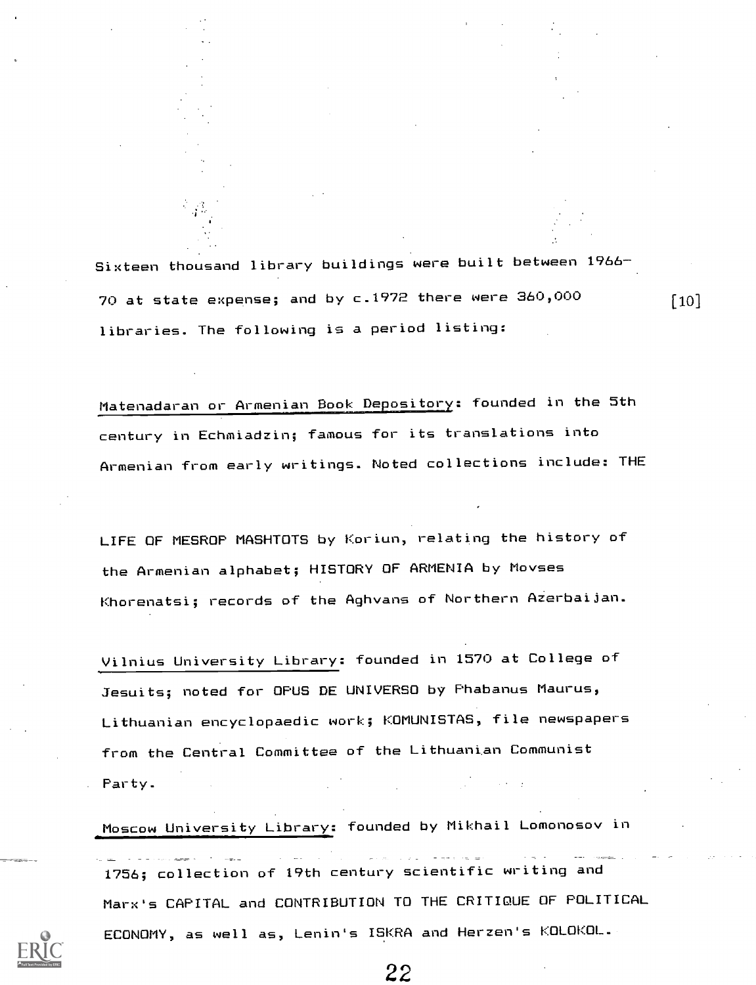Sixteen thousand library buildings were built between 1966 70 at state expense; and by c.1972 there were 360,000 libraries. The following is a period listing:

 $[10]$ 

Matenadaran or Armenian Book Depository: founded in the 5th century in Echmiadzin; famous for its translations into Armenian from early writings. Noted collections include: THE

LIFE OF MESROP MASHTOTS by Koriun, relating the history of the Armenian alphabet; HISTORY OF ARMENIA by Movses Khorenatsi; records of the Aghvans of Northern AZerbaijan.

Vilnius University Library: founded in 1570 at College of Jesuits; noted for OPUS DE UNIVERSO by Phabanus Maurus, Lithuanian encyclopaedic work; KOMUNISTAS, file newspapers from the Central Committee of the Lithuanian Communist . Party.

Moscow University Library: founded by Mikhail Lomonosov in

1756; collection of 19th century scientific writing and Marx's CAPITAL and CONTRIBUTION TO THE CRITIQUE OF POLITICAL ECONOMY, as well as, Lenin's ISKRA and Herzen's KOLOKOL.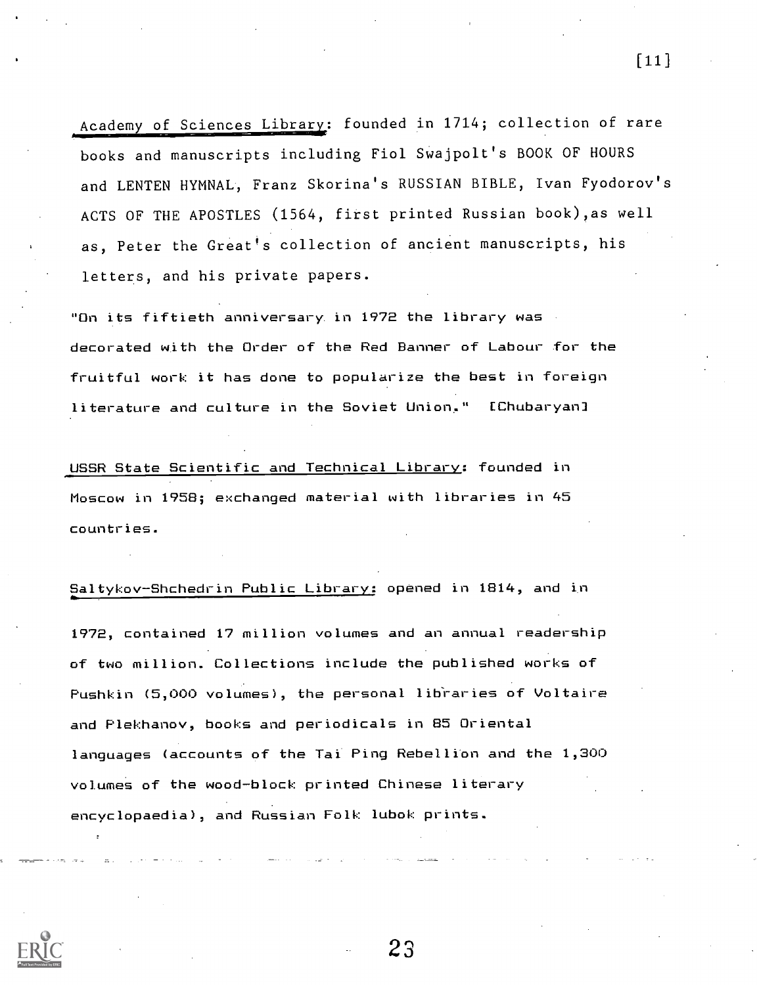Academy of Sciences Library: founded in 1714; collection of rare books and manuscripts including Fiol Swajpolt's BOOK OF HOURS and LENTEN HYMNAL, Franz Skorina's RUSSIAN BIBLE, Ivan Fyodorov's ACTS OF THE APOSTLES (1564, first printed Russian book) as well as, Peter the Great's collection of ancient manuscripts, his letters, and his private papers.

"On its fiftieth anniversary. in 1972 the library was decorated with the Order of the Red Banner of Labour for the fruitful work it has done to popularize the best in foreign literature and culture in the Soviet Union." [Chubaryan]

USSR State Scientific and Technical Library: founded in Moscow in 1958; exchanged material with libraries in 45 countries.

Saltykov-Shchedrin Public Library: opened in 1814, and

1972, contained 17 million volumes and an annual readership of two million. Collections include the published works of Pushkin (5,000 volumes), the personal libraries of Voltaire and Plekhanov, books and periodicals in 85 Oriental languages (accounts of the Tai Ping Rebellion and the 1,300 volumes of the wood-block printed Chinese literary encyclopaedia), and Russian Folk lubok prints.



 $\lceil 11 \rceil$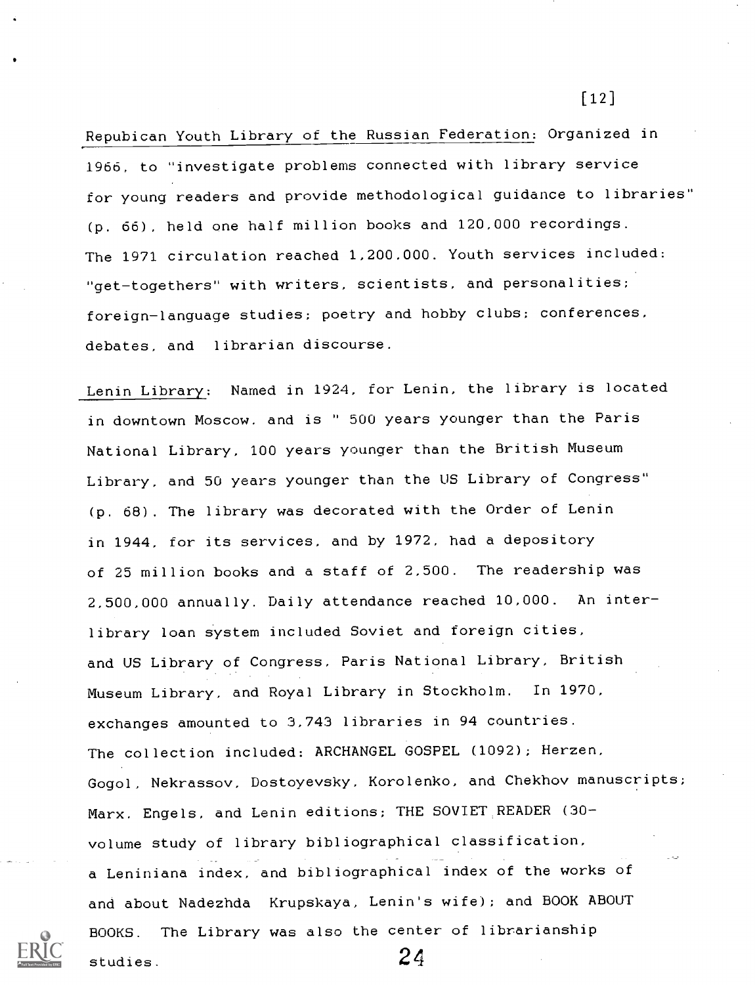Repubican Youth Library of the Russian Federation: Organized in 1966, to "investigate problems connected with library service for young readers and provide methodological guidance to libraries" (p. 66), held one half million books and 120,000 recordings. The 1971 circulation reached 1,200.000. Youth services included: "get-togethers" with writers, scientists, and personalities; foreign-language studies; poetry and hobby clubs; conferences, debates, and librarian discourse.

Lenin Library: Named in 1924, for Lenin, the library is located in downtown Moscow. and is " 500 years younger than the Paris National Library, 100 years younger than the British Museum Library, and 50 years younger than the US Library of Congress" (p. 68). The library was decorated with the Order of Lenin in 1944, for its services, and by 1972, had a depository of 25 million books and a staff of 2,500. The readership was 2,500,000 annually. Daily attendance reached 10,000. An interlibrary loan system included Soviet and foreign cities, and US Library of Congress, Paris National Library, British Museum Library, and Royal Library in Stockholm. In 1970, exchanges amounted to 3,743 libraries in 94 countries. The collection included: ARCHANGEL GOSPEL (1092); Herzen, Gogol, Nekrassov, Dostoyevsky, Korolenko, and Chekhov manuscripts; Marx. Engels, and Lenin editions; THE SOVIET READER (30 volume study of library bibliographical classification, a Leniniana index, and bibliographical index of the works of and about Nadezhda Krupskaya, Lenin's wife); and BOOK ABOUT BOOKS. The Library was also the center of librarianship studies.  $24$ 

[12]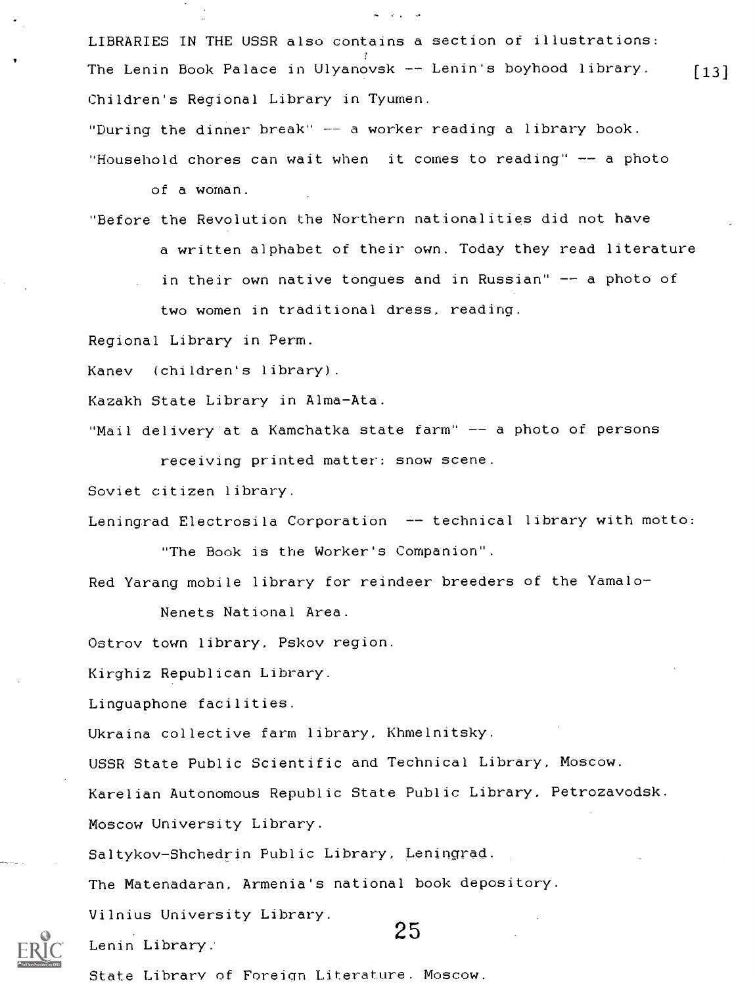LIBRARIES IN THE USSR also contains a section of illustrations: The Lenin Book Palace in Ulyanovsk  $-$  Lenin's boyhood library. [13] Children's Regional Library in Tyumen.

"During the dinner break"  $-$  a worker reading a library book. "Household chores can wait when it comes to reading"  $--$  a photo

of a woman.

"Before the Revolution the Northern nationalities did not have a written alphabet of their own. Today they read literature in their own native tongues and in Russian"  $-$  a photo of two women in traditional dress, reading.

Regional Library in Perm.

Kanev (children's library).

Kazakh State Library in Alma-Ata.

"Mail delivery at a Kamchatka state farm" -- a photo of persons receiving printed matter: snow scene.

Soviet citizen library.

Leningrad Electrosila Corporation -- technical library with motto: "The Book is the Worker's Companion".

Red Yarang mobile library for reindeer breeders of the Yamalo-

Nenets National Area.

Ostrov town library, Pskov region.

Kirghiz Republican Library.

Linguaphone facilities.

Ukraina collective farm library, Khmelnitsky.

USSR State Public Scientific and Technical Library, Moscow.

Karelian Autonomous Republic State Public Library, Petrozavodsk.

Moscow University Library.

Saltykov-Shchedrin Public Library, Leningrad.

The Matenadaran, Armenia's national book depository.

Vilnius University Library.

Lenin Library..

25

State Library of Foreign Literature. Moscow.